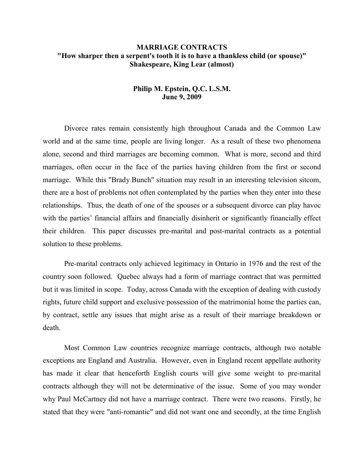# **MARRIAGE CONTRACTS "How sharper then a serpent's tooth it is to have a thankless child (or spouse)" Shakespeare, King Lear (almost)**

# **Philip M. Epstein, Q.C. L.S.M. June 9, 2009**

Divorce rates remain consistently high throughout Canada and the Common Law world and at the same time, people are living longer. As a result of these two phenomena alone, second and third marriages are becoming common. What is more, second and third marriages, often occur in the face of the parties having children from the first or second marriage. While this "Brady Bunch" situation may result in an interesting television sitcom, there are a host of problems not often contemplated by the parties when they enter into these relationships. Thus, the death of one of the spouses or a subsequent divorce can play havoc with the parties' financial affairs and financially disinherit or significantly financially effect their children. This paper discusses pre-marital and post-marital contracts as a potential solution to these problems.

Pre-marital contracts only achieved legitimacy in Ontario in 1976 and the rest of the country soon followed. Quebec always had a form of marriage contract that was permitted but it was limited in scope. Today, across Canada with the exception of dealing with custody rights, future child support and exclusive possession of the matrimonial home the parties can, by contract, settle any issues that might arise as a result of their marriage breakdown or death.

Most Common Law countries recognize marriage contracts, although two notable exceptions are England and Australia. However, even in England recent appellate authority has made it clear that henceforth English courts will give some weight to pre-marital contracts although they will not be determinative of the issue. Some of you may wonder why Paul McCartney did not have a marriage contract. There were two reasons. Firstly, he stated that they were "anti-romantic" and did not want one and secondly, at the time English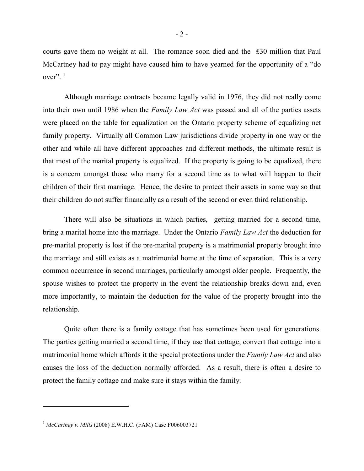courts gave them no weight at all. The romance soon died and the ₤30 million that Paul McCartney had to pay might have caused him to have yearned for the opportunity of a "do over". $1$ 

Although marriage contracts became legally valid in 1976, they did not really come into their own until 1986 when the *Family Law Act* was passed and all of the parties assets were placed on the table for equalization on the Ontario property scheme of equalizing net family property. Virtually all Common Law jurisdictions divide property in one way or the other and while all have different approaches and different methods, the ultimate result is that most of the marital property is equalized. If the property is going to be equalized, there is a concern amongst those who marry for a second time as to what will happen to their children of their first marriage. Hence, the desire to protect their assets in some way so that their children do not suffer financially as a result of the second or even third relationship.

There will also be situations in which parties, getting married for a second time, bring a marital home into the marriage. Under the Ontario *Family Law Act* the deduction for pre-marital property is lost if the pre-marital property is a matrimonial property brought into the marriage and still exists as a matrimonial home at the time of separation. This is a very common occurrence in second marriages, particularly amongst older people. Frequently, the spouse wishes to protect the property in the event the relationship breaks down and, even more importantly, to maintain the deduction for the value of the property brought into the relationship.

Quite often there is a family cottage that has sometimes been used for generations. The parties getting married a second time, if they use that cottage, convert that cottage into a matrimonial home which affords it the special protections under the *Family Law Act* and also causes the loss of the deduction normally afforded. As a result, there is often a desire to protect the family cottage and make sure it stays within the family.

<sup>1</sup> *McCartney v. Mills* (2008) E.W.H.C. (FAM) Case F006003721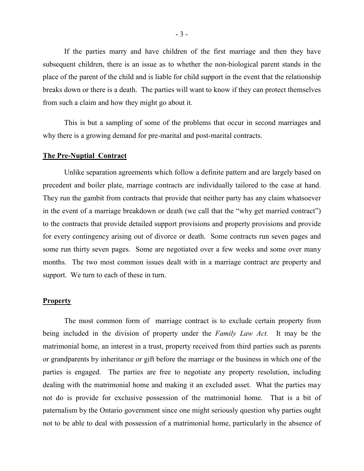If the parties marry and have children of the first marriage and then they have subsequent children, there is an issue as to whether the non-biological parent stands in the place of the parent of the child and is liable for child support in the event that the relationship breaks down or there is a death. The parties will want to know if they can protect themselves from such a claim and how they might go about it.

This is but a sampling of some of the problems that occur in second marriages and why there is a growing demand for pre-marital and post-marital contracts.

#### **The Pre-Nuptial Contract**

Unlike separation agreements which follow a definite pattern and are largely based on precedent and boiler plate, marriage contracts are individually tailored to the case at hand. They run the gambit from contracts that provide that neither party has any claim whatsoever in the event of a marriage breakdown or death (we call that the "why get married contract") to the contracts that provide detailed support provisions and property provisions and provide for every contingency arising out of divorce or death. Some contracts run seven pages and some run thirty seven pages. Some are negotiated over a few weeks and some over many months. The two most common issues dealt with in a marriage contract are property and support. We turn to each of these in turn.

### **Property**

The most common form of marriage contract is to exclude certain property from being included in the division of property under the *Family Law Act.* It may be the matrimonial home, an interest in a trust, property received from third parties such as parents or grandparents by inheritance or gift before the marriage or the business in which one of the parties is engaged. The parties are free to negotiate any property resolution, including dealing with the matrimonial home and making it an excluded asset. What the parties may not do is provide for exclusive possession of the matrimonial home. That is a bit of paternalism by the Ontario government since one might seriously question why parties ought not to be able to deal with possession of a matrimonial home, particularly in the absence of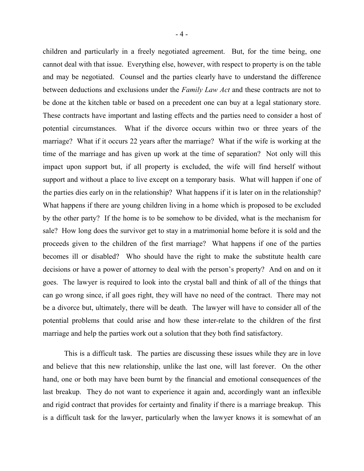children and particularly in a freely negotiated agreement. But, for the time being, one cannot deal with that issue. Everything else, however, with respect to property is on the table and may be negotiated. Counsel and the parties clearly have to understand the difference between deductions and exclusions under the *Family Law Act* and these contracts are not to

be done at the kitchen table or based on a precedent one can buy at a legal stationary store. These contracts have important and lasting effects and the parties need to consider a host of potential circumstances. What if the divorce occurs within two or three years of the marriage? What if it occurs 22 years after the marriage? What if the wife is working at the time of the marriage and has given up work at the time of separation? Not only will this impact upon support but, if all property is excluded, the wife will find herself without support and without a place to live except on a temporary basis. What will happen if one of the parties dies early on in the relationship? What happens if it is later on in the relationship? What happens if there are young children living in a home which is proposed to be excluded by the other party? If the home is to be somehow to be divided, what is the mechanism for sale? How long does the survivor get to stay in a matrimonial home before it is sold and the proceeds given to the children of the first marriage? What happens if one of the parties becomes ill or disabled? Who should have the right to make the substitute health care decisions or have a power of attorney to deal with the person's property? And on and on it goes. The lawyer is required to look into the crystal ball and think of all of the things that can go wrong since, if all goes right, they will have no need of the contract. There may not be a divorce but, ultimately, there will be death. The lawyer will have to consider all of the potential problems that could arise and how these inter-relate to the children of the first marriage and help the parties work out a solution that they both find satisfactory.

This is a difficult task. The parties are discussing these issues while they are in love and believe that this new relationship, unlike the last one, will last forever. On the other hand, one or both may have been burnt by the financial and emotional consequences of the last breakup. They do not want to experience it again and, accordingly want an inflexible and rigid contract that provides for certainty and finality if there is a marriage breakup. This is a difficult task for the lawyer, particularly when the lawyer knows it is somewhat of an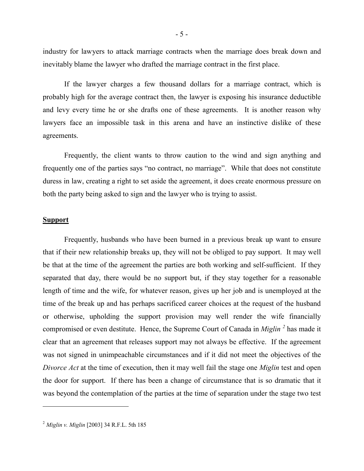industry for lawyers to attack marriage contracts when the marriage does break down and inevitably blame the lawyer who drafted the marriage contract in the first place.

If the lawyer charges a few thousand dollars for a marriage contract, which is probably high for the average contract then, the lawyer is exposing his insurance deductible and levy every time he or she drafts one of these agreements. It is another reason why lawyers face an impossible task in this arena and have an instinctive dislike of these agreements.

Frequently, the client wants to throw caution to the wind and sign anything and frequently one of the parties says "no contract, no marriage". While that does not constitute duress in law, creating a right to set aside the agreement, it does create enormous pressure on both the party being asked to sign and the lawyer who is trying to assist.

## **Support**

Frequently, husbands who have been burned in a previous break up want to ensure that if their new relationship breaks up, they will not be obliged to pay support. It may well be that at the time of the agreement the parties are both working and self-sufficient. If they separated that day, there would be no support but, if they stay together for a reasonable length of time and the wife, for whatever reason, gives up her job and is unemployed at the time of the break up and has perhaps sacrificed career choices at the request of the husband or otherwise, upholding the support provision may well render the wife financially compromised or even destitute. Hence, the Supreme Court of Canada in *Miglin <sup>2</sup>* has made it clear that an agreement that releases support may not always be effective. If the agreement was not signed in unimpeachable circumstances and if it did not meet the objectives of the *Divorce Act* at the time of execution, then it may well fail the stage one *Miglin* test and open the door for support. If there has been a change of circumstance that is so dramatic that it was beyond the contemplation of the parties at the time of separation under the stage two test

<sup>2</sup> *Miglin v. Miglin* [2003] 34 R.F.L. 5th 185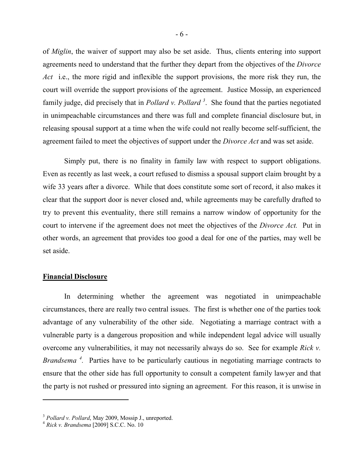of *Miglin*, the waiver of support may also be set aside. Thus, clients entering into support agreements need to understand that the further they depart from the objectives of the *Divorce Act* i.e., the more rigid and inflexible the support provisions, the more risk they run, the court will override the support provisions of the agreement. Justice Mossip, an experienced family judge, did precisely that in *Pollard v. Pollard <sup>3</sup>* . She found that the parties negotiated in unimpeachable circumstances and there was full and complete financial disclosure but, in releasing spousal support at a time when the wife could not really become self-sufficient, the agreement failed to meet the objectives of support under the *Divorce Act* and was set aside.

Simply put, there is no finality in family law with respect to support obligations. Even as recently as last week, a court refused to dismiss a spousal support claim brought by a wife 33 years after a divorce. While that does constitute some sort of record, it also makes it clear that the support door is never closed and, while agreements may be carefully drafted to try to prevent this eventuality, there still remains a narrow window of opportunity for the court to intervene if the agreement does not meet the objectives of the *Divorce Act.* Put in other words, an agreement that provides too good a deal for one of the parties, may well be set aside.

### **Financial Disclosure**

In determining whether the agreement was negotiated in unimpeachable circumstances, there are really two central issues. The first is whether one of the parties took advantage of any vulnerability of the other side. Negotiating a marriage contract with a vulnerable party is a dangerous proposition and while independent legal advice will usually overcome any vulnerabilities, it may not necessarily always do so. See for example *Rick v. Brandsema*<sup>4</sup>. Parties have to be particularly cautious in negotiating marriage contracts to ensure that the other side has full opportunity to consult a competent family lawyer and that the party is not rushed or pressured into signing an agreement. For this reason, it is unwise in

<sup>3</sup> *Pollard v. Pollard*, May 2009, Mossip J., unreported.

<sup>4</sup> *Rick v. Brandsema* [2009] S.C.C. No. 10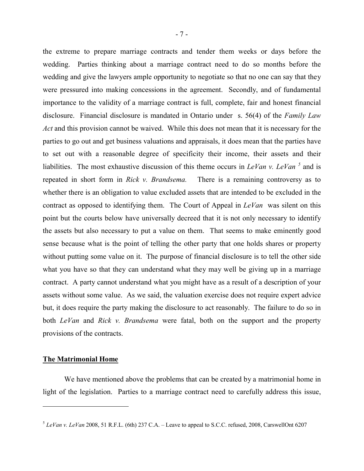the extreme to prepare marriage contracts and tender them weeks or days before the wedding. Parties thinking about a marriage contract need to do so months before the wedding and give the lawyers ample opportunity to negotiate so that no one can say that they were pressured into making concessions in the agreement. Secondly, and of fundamental importance to the validity of a marriage contract is full, complete, fair and honest financial disclosure. Financial disclosure is mandated in Ontario under s. 56(4) of the *Family Law Act* and this provision cannot be waived. While this does not mean that it is necessary for the parties to go out and get business valuations and appraisals, it does mean that the parties have to set out with a reasonable degree of specificity their income, their assets and their liabilities. The most exhaustive discussion of this theme occurs in *LeVan v. LeVan*<sup>5</sup> and is repeated in short form in *Rick v. Brandsema.* There is a remaining controversy as to whether there is an obligation to value excluded assets that are intended to be excluded in the contract as opposed to identifying them. The Court of Appeal in *LeVan* was silent on this point but the courts below have universally decreed that it is not only necessary to identify the assets but also necessary to put a value on them. That seems to make eminently good sense because what is the point of telling the other party that one holds shares or property without putting some value on it. The purpose of financial disclosure is to tell the other side what you have so that they can understand what they may well be giving up in a marriage contract. A party cannot understand what you might have as a result of a description of your assets without some value. As we said, the valuation exercise does not require expert advice but, it does require the party making the disclosure to act reasonably. The failure to do so in both *LeVan* and *Rick v. Brandsema* were fatal, both on the support and the property provisions of the contracts.

#### **The Matrimonial Home**

We have mentioned above the problems that can be created by a matrimonial home in light of the legislation. Parties to a marriage contract need to carefully address this issue,

<sup>5</sup> *LeVan v. LeVan* 2008, 51 R.F.L. (6th) 237 C.A. – Leave to appeal to S.C.C. refused, 2008, CarswellOnt 6207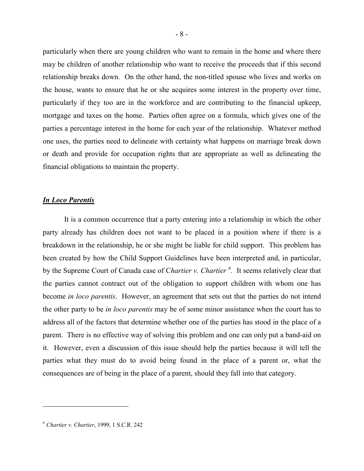particularly when there are young children who want to remain in the home and where there may be children of another relationship who want to receive the proceeds that if this second relationship breaks down. On the other hand, the non-titled spouse who lives and works on the house, wants to ensure that he or she acquires some interest in the property over time, particularly if they too are in the workforce and are contributing to the financial upkeep, mortgage and taxes on the home. Parties often agree on a formula, which gives one of the parties a percentage interest in the home for each year of the relationship. Whatever method one uses, the parties need to delineate with certainty what happens on marriage break down or death and provide for occupation rights that are appropriate as well as delineating the financial obligations to maintain the property.

# *In Loco Parentis*

It is a common occurrence that a party entering into a relationship in which the other party already has children does not want to be placed in a position where if there is a breakdown in the relationship, he or she might be liable for child support. This problem has been created by how the Child Support Guidelines have been interpreted and, in particular, by the Supreme Court of Canada case of C*hartier v. Chartier <sup>6</sup> .* It seems relatively clear that the parties cannot contract out of the obligation to support children with whom one has become *in loco parentis*. However, an agreement that sets out that the parties do not intend the other party to be *in loco parentis* may be of some minor assistance when the court has to address all of the factors that determine whether one of the parties has stood in the place of a parent. There is no effective way of solving this problem and one can only put a band-aid on it. However, even a discussion of this issue should help the parties because it will tell the parties what they must do to avoid being found in the place of a parent or, what the consequences are of being in the place of a parent, should they fall into that category.

<sup>-</sup> 8 -

<sup>6</sup> *Chartier v. Chartier*, 1999, 1 S.C.R. 242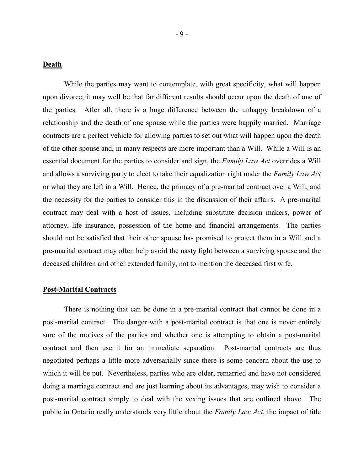# **Death**

While the parties may want to contemplate, with great specificity, what will happen upon divorce, it may well be that far different results should occur upon the death of one of the parties. After all, there is a huge difference between the unhappy breakdown of a relationship and the death of one spouse while the parties were happily married. Marriage contracts are a perfect vehicle for allowing parties to set out what will happen upon the death of the other spouse and, in many respects are more important than a Will. While a Will is an essential document for the parties to consider and sign, the *Family Law Act* overrides a Will and allows a surviving party to elect to take their equalization right under the *Family Law Act* or what they are left in a Will. Hence, the primacy of a pre-marital contract over a Will, and the necessity for the parties to consider this in the discussion of their affairs. A pre-marital contract may deal with a host of issues, including substitute decision makers, power of attorney, life insurance, possession of the home and financial arrangements. The parties should not be satisfied that their other spouse has promised to protect them in a Will and a pre-marital contract may often help avoid the nasty fight between a surviving spouse and the deceased children and other extended family, not to mention the deceased first wife.

## **Post-Marital Contracts**

There is nothing that can be done in a pre-marital contract that cannot be done in a post-marital contract. The danger with a post-marital contract is that one is never entirely sure of the motives of the parties and whether one is attempting to obtain a post-marital contract and then use it for an immediate separation. Post-marital contracts are thus negotiated perhaps a little more adversarially since there is some concern about the use to which it will be put. Nevertheless, parties who are older, remarried and have not considered doing a marriage contract and are just learning about its advantages, may wish to consider a post-marital contract simply to deal with the vexing issues that are outlined above. The public in Ontario really understands very little about the *Family Law Act*, the impact of title